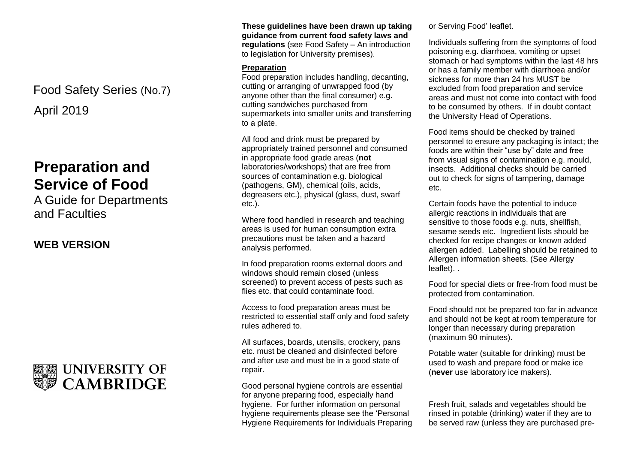April 2019 Food Safety Series (No.7)

# **Preparation and Service of Food**

A Guide for Departments and Faculties

**WEB VERSION**



**These guidelines have been drawn up taking guidance from current food safety laws and regulations** (see Food Safety – An introduction to legislation for University premises).

#### **Preparation**

Food preparation includes handling, decanting, cutting or arranging of unwrapped food (by anyone other than the final consumer) e.g. cutting sandwiches purchased from supermarkets into smaller units and transferring to a plate.

All food and drink must be prepared by appropriately trained personnel and consumed in appropriate food grade areas (**not** laboratories/workshops) that are free from sources of contamination e.g. biological (pathogens, GM), chemical (oils, acids, degreasers etc.), physical (glass, dust, swarf etc.).

Where food handled in research and teaching areas is used for human consumption extra precautions must be taken and a hazard analysis performed.

In food preparation rooms external doors and windows should remain closed (unless screened) to prevent access of pests such as flies etc. that could contaminate food.

Access to food preparation areas must be restricted to essential staff only and food safety rules adhered to.

All surfaces, boards, utensils, crockery, pans etc. must be cleaned and disinfected before and after use and must be in a good state of repair.

Good personal hygiene controls are essential for anyone preparing food, especially hand hygiene. For further information on personal hygiene requirements please see the 'Personal Hygiene Requirements for Individuals Preparing or Serving Food' leaflet.

Individuals suffering from the symptoms of food poisoning e.g. diarrhoea, vomiting or upset stomach or had symptoms within the last 48 hrs or has a family member with diarrhoea and/or sickness for more than 24 hrs MUST be excluded from food preparation and service areas and must not come into contact with food to be consumed by others. If in doubt contact the University Head of Operations.

Food items should be checked by trained personnel to ensure any packaging is intact; the foods are within their "use by" date and free from visual signs of contamination e.g. mould, insects. Additional checks should be carried out to check for signs of tampering, damage etc.

Certain foods have the potential to induce allergic reactions in individuals that are sensitive to those foods e.g. nuts, shellfish, sesame seeds etc. Ingredient lists should be checked for recipe changes or known added allergen added. Labelling should be retained to Allergen information sheets. (See Allergy leaflet). .

Food for special diets or free-from food must be protected from contamination.

Food should not be prepared too far in advance and should not be kept at room temperature for longer than necessary during preparation (maximum 90 minutes).

Potable water (suitable for drinking) must be used to wash and prepare food or make ice (**never** use laboratory ice makers).

Fresh fruit, salads and vegetables should be rinsed in potable (drinking) water if they are to be served raw (unless they are purchased pre-